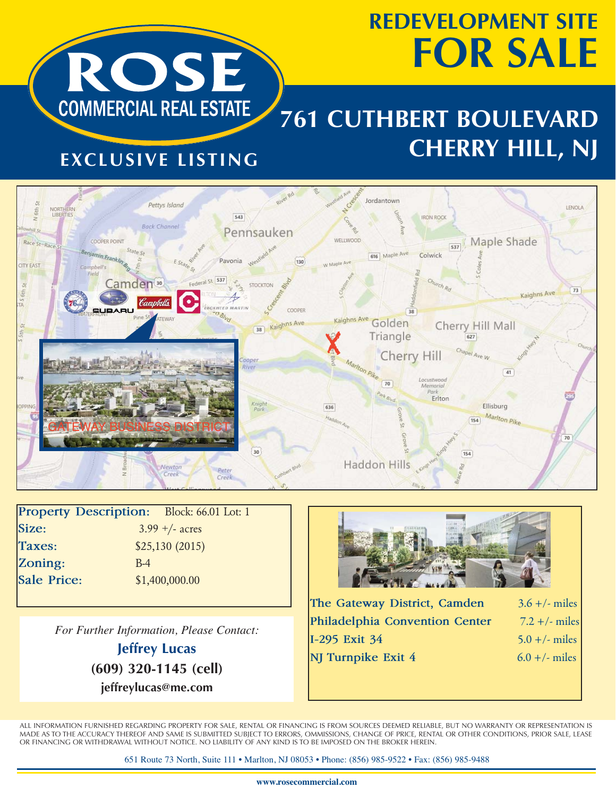# **REDEVELOPMENT SITE FOR SALE**



### **761 CUTHBERT BOULEVARD CHERRY HILL, NJ**

#### **EXCLUSIVE LISTING**



| <b>Property Description:</b> | Block: 66.01 Lot: 1 |  |
|------------------------------|---------------------|--|
| Size:                        | $3.99 + -$ acres    |  |
| <b>Taxes:</b>                | \$25,130(2015)      |  |
| Zoning:                      | $B-4$               |  |
| <b>Sale Price:</b>           | \$1,400,000.00      |  |
|                              |                     |  |

*For Further Information, Please Contact:*

**Jeffrey Lucas (609) 320-1145 (cell) jeffreylucas@me.com**



| The Gateway District, Camden   | $3.6 +/-$ miles |
|--------------------------------|-----------------|
| Philadelphia Convention Center | $7.2 +/-$ miles |
| I-295 Exit 34                  | $5.0 +/-$ miles |
| NJ Turnpike Exit 4             | $6.0 +/-$ miles |
|                                |                 |

ALL INFORMATION FURNISHED REGARDING PROPERTY FOR SALE, RENTAL OR FINANCING IS FROM SOURCES DEEMED RELIABLE, BUT NO WARRANTY OR REPRESENTATION IS MADE AS TO THE ACCURACY THEREOF AND SAME IS SUBMITTED SUBJECT TO ERRORS, OMMISSIONS, CHANGE OF PRICE, RENTAL OR OTHER CONDITIONS, PRIOR SALE, LEASE OR FINANCING OR WITHDRAWAL WITHOUT NOTICE. NO LIABILITY OF ANY KIND IS TO BE IMPOSED ON THE BROKER HEREIN.

651 Route 73 North, Suite 111 • Marlton, NJ 08053 • Phone: (856) 985-9522 • Fax: (856) 985-9488